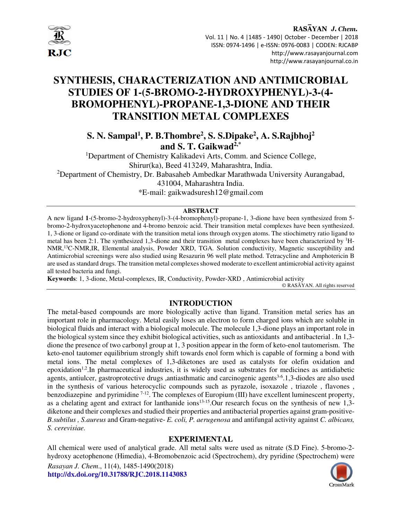

# **SYNTHESIS, CHARACTERIZATION AND ANTIMICROBIAL STUDIES OF 1-(5-BROMO-2-HYDROXYPHENYL)-3-(4- BROMOPHENYL)-PROPANE-1,3-DIONE AND THEIR TRANSITION METAL COMPLEXES**

**S. N. Sampal<sup>1</sup> , P. B.Thombre<sup>2</sup> , S. S.Dipake<sup>2</sup> , A. S.Rajbhoj<sup>2</sup> and S. T. Gaikwad2,\*** 

<sup>1</sup>Department of Chemistry Kalikadevi Arts, Comm. and Science College, Shirur(ka), Beed 413249, Maharashtra, India. <sup>2</sup>Department of Chemistry, Dr. Babasaheb Ambedkar Marathwada University Aurangabad, 431004, Maharashtra India. \*E-mail: gaikwadsuresh12@gmail.com

#### **ABSTRACT**

A new ligand **1**-(5-bromo-2-hydroxyphenyl)-3-(4-bromophenyl)-propane-1, 3-dione have been synthesized from 5 bromo-2-hydroxyacetophenone and 4-bromo benzoic acid. Their transition metal complexes have been synthesized. 1, 3-dione or ligand co-ordinate with the transition metal ions through oxygen atoms. The stiochimetry ratio ligand to metal has been 2:1. The synthesized 1,3-dione and their transition metal complexes have been characterized by  ${}^{1}$ H-NMR,<sup>13</sup>C-NMR,IR, Elemental analysis, Powder XRD, TGA. Solution conductivity, Magnetic susceptibility and Antimicrobial screenings were also studied using Resazurin 96 well plate method. Tetracycline and Amphotericin B are used as standard drugs. The transition metal complexes showed moderate to excellent antimicrobial activity against all tested bacteria and fungi.

**Keywords**: 1, 3-dione, Metal-complexes, IR, Conductivity, Powder-XRD , Antimicrobial activity

© RASĀYAN. All rights reserved

#### **INTRODUCTION**

The metal-based compounds are more biologically active than ligand. Transition metal series has an important role in pharmacology. Metal easily loses an electron to form charged ions which are soluble in biological fluids and interact with a biological molecule. The molecule 1,3-dione plays an important role in the biological system since they exhibit biological activities, such as antioxidants and antibacterial . In 1,3 dione the presence of two carbonyl group at 1, 3 position appear in the form of keto-enol tautomerism. The keto-enol tautomer equilibrium strongly shift towards enol form which is capable of forming a bond with metal ions. The metal complexes of 1,3-diketones are used as catalysts for olefin oxidation and epoxidation<sup>1,2</sup>.In pharmaceutical industries, it is widely used as substrates for medicines as antidiabetic agents, antiulcer, gastroprotective drugs ,antiasthmatic and carcinogenic agents<sup>3-6</sup>.1,3-diodes are also used in the synthesis of various heterocyclic compounds such as pyrazole, isoxazole , triazole , flavones , benzodiazepine and pyrimidine <sup>7-12</sup>. The complexes of Europium (III) have excellent luminescent property, as a chelating agent and extract for lanthanide ions<sup>13-15</sup>. Our research focus on the synthesis of new 1,3diketone and their complexes and studied their properties and antibacterial properties against gram-positive-*B.subtilus , S.aureus* and Gram-negative- *E. coli, P. aerugenosa* and antifungal activity against *C. albicans, S. cerevisiae.* 

#### **EXPERIMENTAL**

All chemical were used of analytical grade. All metal salts were used as nitrate (S.D Fine). 5-bromo-2 hydroxy acetophenone (Himedia), 4-Bromobenzoic acid (Spectrochem), dry pyridine (Spectrochem) were

*Rasayan J. Chem*., 11(4), 1485-1490(2018) **http://dx.doi.org/10.31788/RJC.2018.1143083**

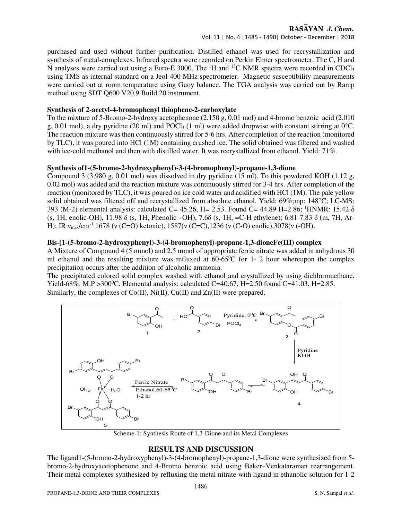#### RASAYAN J. Chem.

Vol. 11 | No. 4 |1485 - 1490| October - December | 2018

purchased and used without further purification. Distilled ethanol was used for recrystallization and synthesis of metal-complexes. Infrared spectra were recorded on Perkin Elmer spectrometer. The C, H and N analyses were carried out using a Euro-E 3000. The <sup>1</sup>H and <sup>13</sup>C NMR spectra were recorded in CDCl<sub>3</sub> using TMS as internal standard on a Jeol-400 MHz spectrometer. Magnetic susceptibility measurements were carried out at room temperature using Guoy balance. The TGA analysis was carried out by Ramp method using SDT Q600 V20.9 Build 20 instrument.

#### **Synthesis of 2-acetyl-4-bromophenyl thiophene-2-carboxylate**

To the mixture of 5-Bromo-2-hydroxy acetophenone (2.150 g, 0.01 mol) and 4-bromo benzoic acid (2.010 g, 0.01 mol), a dry pyridine (20 ml) and POCl<sub>3</sub> (1 ml) were added dropwise with constant stirring at 0<sup>o</sup>C. The reaction mixture was then continuously stirred for 5-6 hrs. After completion of the reaction (monitored by TLC), it was poured into HCl (1M) containing crushed ice. The solid obtained was filtered and washed with ice-cold methanol and then with distilled water. It was recrystallized from ethanol. Yield: 71%.

## **Synthesis of1-(5-bromo-2-hydroxyphenyl)-3-(4-bromophenyl)-propane-1,3-dione**

Compound 3 (3.980 g, 0.01 mol) was dissolved in dry pyridine (15 ml). To this powdered KOH (1.12 g, 0.02 mol) was added and the reaction mixture was continuously stirred for 3-4 hrs. After completion of the reaction (monitored by TLC), it was poured on ice cold water and acidified with HCl (1M). The pale yellow solid obtained was filtered off and recrystallized from absolute ethanol. Yield: 69%;mp: 148°C; LC-MS: 393 (M-2) elemental analysis: calculated C= 45.26, H= 2.53. Found C= 44.89 H=2.86; <sup>1</sup>HNMR: 15.42  $\delta$ (s, 1H, enolic-OH), 11.98 δ (s, 1H, Phenolic –OH), 7.6δ (s, 1H, =C-H ethylene); 6.81-7.83 δ (m, 7H, Ar-H); IR  $v_{\text{max}}/\text{cm}^{-1}$  1678 (v (C=O) ketonic), 1587(v (C=C), 1236 (v (C-O) enolic), 3078(v (-OH).

## **Bis-[1-(5-bromo-2-hydroxyphenyl)-3-(4-bromophenyl)-propane-1,3-dioneFe(III) complex**

A Mixture of Compound 4 (5 mmol) and 2.5 mmol of appropriate ferric nitrate was added in anhydrous 30 ml ethanol and the resulting mixture was refluxed at  $60-65\degree$ C for 1- 2 hour whereupon the complex precipitation occurs after the addition of alcoholic ammonia.

The precipitated colored solid complex washed with ethanol and crystallized by using dichloromethane. Yield-68%. M.P > 300<sup>o</sup>C. Elemental analysis: calculated C=40.67, H=2.50 found C=41.03, H=2.85. Similarly, the complexes of  $Co(II)$ ,  $Ni(II)$ ,  $Cu(II)$  and  $Zn(II)$  were prepared.



Scheme-1: Synthesis Route of 1,3-Dione and its Metal Complexes

# **RESULTS AND DISCUSSION**

The ligand1-(5-bromo-2-hydroxyphenyl)-3-(4-bromophenyl)-propane-1,3-dione were synthesized from 5 bromo-2-hydroxyacetophenone and 4-Bromo benzoic acid using Baker–Venkataraman rearrangement. Their metal complexes synthesized by refluxing the metal nitrate with ligand in ethanolic solution for 1-2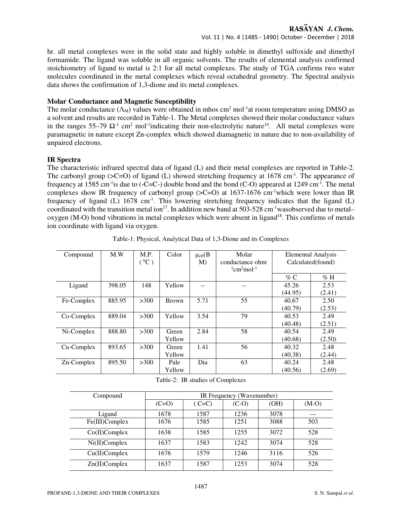#### RASAYAN J. Chem.

Vol. 11 | No. 4 |1485 - 1490| October - December | 2018

hr. all metal complexes were in the solid state and highly soluble in dimethyl sulfoxide and dimethyl formamide. The ligand was soluble in all organic solvents. The results of elemental analysis confirmed stoichiometry of ligand to metal is 2:1 for all metal complexes. The study of TGA confirms two water molecules coordinated in the metal complexes which reveal octahedral geometry. The Spectral analysis data shows the confirmation of 1,3-dione and its metal complexes.

#### **Molar Conductance and Magnetic Susceptibility**

The molar conductance  $(\Lambda_M)$  values were obtained in mhos cm<sup>2</sup> mol<sup>-1</sup>at room temperature using DMSO as a solvent and results are recorded in Table-1. The Metal complexes showed their molar conductance values in the ranges  $55-79 \Omega$ <sup>-1</sup> cm<sup>2</sup> mol<sup>-1</sup>indicating their non-electrolytic nature<sup>16</sup>. All metal complexes were paramagnetic in nature except Zn-complex which showed diamagnetic in nature due to non-availability of unpaired electrons.

#### **IR Spectra**

The characteristic infrared spectral data of ligand (L) and their metal complexes are reported in Table-2. The carbonyl group ( $\geq C=O$ ) of ligand (L) showed stretching frequency at 1678 cm<sup>-1</sup>. The appearance of frequency at 1585 cm<sup>-1</sup>is due to (-C=C-) double bond and the bond (C-O) appeared at 1249 cm<sup>-1</sup>. The metal complexes show IR frequency of carbonyl group ( $\Sigma$ C=O) at 1637-1676 cm<sup>-1</sup>which were lower than IR frequency of ligand (L)  $1678 \text{ cm}^{-1}$ . This lowering stretching frequency indicates that the ligand (L) coordinated with the transition metal ion<sup>17</sup>. In addition new band at 503-528 cm<sup>-1</sup>wasobserved due to metal– oxygen (M-O) bond vibrations in metal complexes which were absent in ligand<sup>18</sup>. This confirms of metals ion coordinate with ligand via oxygen.

| Compound   | M.W    | M.P.<br>$^{\circ}$ <sup>0</sup> C) | Color        | $\mu_{eff}(B)$<br>M) | Molar<br>conductance ohm<br>$1$ cm <sup>2</sup> mol <sup>-1</sup> | Elemental Analysis<br>Calculated (found) |        |
|------------|--------|------------------------------------|--------------|----------------------|-------------------------------------------------------------------|------------------------------------------|--------|
|            |        |                                    |              |                      |                                                                   | $\%$ C                                   | $\%$ H |
| Ligand     | 398.05 | 148                                | Yellow       |                      |                                                                   | 45.26                                    | 2.53   |
|            |        |                                    |              |                      |                                                                   | (44.95)                                  | (2.41) |
| Fe-Complex | 885.95 | >300                               | <b>Brown</b> | 5.71                 | 55                                                                | 40.67                                    | 2.50   |
|            |        |                                    |              |                      |                                                                   | (40.79)                                  | (2.53) |
| Co-Complex | 889.04 | >300                               | Yellow       | 3.54                 | 79                                                                | 40.53                                    | 2.49   |
|            |        |                                    |              |                      |                                                                   | (40.48)                                  | (2.51) |
| Ni-Complex | 888.80 | >300                               | Green        | 2.84                 | 58                                                                | 40.54                                    | 2.49   |
|            |        |                                    | Yellow       |                      |                                                                   | (40.68)                                  | (2.50) |
| Cu-Complex | 893.65 | >300                               | Green        | 1.41                 | 56                                                                | 40.32                                    | 2.48   |
|            |        |                                    | Yellow       |                      |                                                                   | (40.38)                                  | (2.44) |
| Zn-Complex | 895.50 | >300                               | Pale         | Dia                  | 63                                                                | 40.24                                    | 2.48   |
|            |        |                                    | Yellow       |                      |                                                                   | (40.56)                                  | (2.69) |

Table-1: Physical, Analytical Data of 1,3-Dione and its Complexes

|  | Table-2: IR studies of Complexes |  |
|--|----------------------------------|--|
|  |                                  |  |

| Compound         | IR Frequency (Wavenumber) |         |         |      |         |  |
|------------------|---------------------------|---------|---------|------|---------|--|
|                  | $(C=O)$                   | $(C=C)$ | $(C-O)$ | (OH) | $(M-O)$ |  |
| Ligand           | 1678                      | 1587    | 1236    | 3078 |         |  |
| Fe(III)Complex   | 1676                      | 1585    | 1251    | 3088 | 503     |  |
| $Co(II)$ Complex | 1638                      | 1585    | 1255    | 3072 | 528     |  |
| $Ni(II)$ Complex | 1637                      | 1583    | 1242    | 3074 | 528     |  |
| $Cu(II)$ Complex | 1676                      | 1579    | 1246    | 3116 | 526     |  |
| $Zn(II)$ Complex | 1637                      | 1587    | 1253    | 3074 | 528     |  |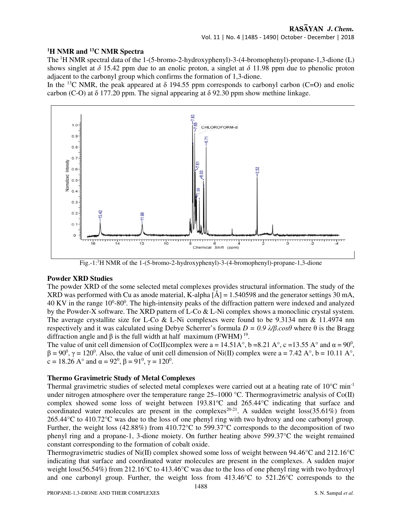# **<sup>1</sup>H NMR and <sup>13</sup>C NMR Spectra**

The <sup>1</sup>H NMR spectral data of the 1-(5-bromo-2-hydroxyphenyl)-3-(4-bromophenyl)-propane-1,3-dione (L) shows singlet at  $\delta$  15.42 ppm due to an enolic proton, a singlet at  $\delta$  11.98 ppm due to phenolic proton adjacent to the carbonyl group which confirms the formation of 1,3-dione.

In the <sup>13</sup>C NMR, the peak appeared at  $\delta$  194.55 ppm corresponds to carbonyl carbon (C=O) and enolic carbon (C-O) at  $\delta$  177.20 ppm. The signal appearing at  $\delta$  92.30 ppm show methine linkage.



Fig.-1:<sup>1</sup>H NMR of the 1-(5-bromo-2-hydroxyphenyl)-3-(4-bromophenyl)-propane-1,3-dione

#### **Powder XRD Studies**

The powder XRD of the some selected metal complexes provides structural information. The study of the XRD was performed with Cu as anode material, K-alpha  $\left[\hat{A}\right] = 1.540598$  and the generator settings 30 mA, 40 KV in the range 10<sup>0</sup>-80<sup>0</sup>. The high-intensity peaks of the diffraction pattern were indexed and analyzed by the Powder-X software. The XRD pattern of L-Co & L-Ni complex shows a monoclinic crystal system. The average crystallite size for L-Co & L-Ni complexes were found to be 9.3134 nm & 11.4974 nm respectively and it was calculated using Debye Scherrer's formula *D = 0.9 λ/β.cosθ* where θ is the Bragg diffraction angle and β is the full width at half maximum (FWHM)<sup>19</sup>.

The value of unit cell dimension of Co(II)complex were a = 14.51A°, b =8.21 A°, c = 13.55 A° and  $\alpha = 90^\circ$ ,  $\beta = 90^0$ ,  $\gamma = 120^0$ . Also, the value of unit cell dimension of Ni(II) complex were a = 7.42 A°, b = 10.11 A°, c = 18.26 A° and  $\alpha = 92^0$ ,  $\beta = 91^0$ ,  $\gamma = 120^0$ .

#### **Thermo Gravimetric Study of Metal Complexes**

Thermal gravimetric studies of selected metal complexes were carried out at a heating rate of  $10^{\circ}$ C min<sup>-1</sup> under nitrogen atmosphere over the temperature range  $25-1000$  °C. Thermogravimetric analysis of Co(II) complex showed some loss of weight between  $193.81^{\circ}$ C and  $265.44^{\circ}$ C indicating that surface and coordinated water molecules are present in the complexes<sup>20-21</sup>. A sudden weight  $loss(35.61%)$  from 265.44°C to 410.72°C was due to the loss of one phenyl ring with two hydroxy and one carbonyl group. Further, the weight loss (42.88%) from 410.72°C to 599.37°C corresponds to the decomposition of two phenyl ring and a propane-1, 3-dione moiety. On further heating above 599.37°C the weight remained constant corresponding to the formation of cobalt oxide.

Thermogravimetric studies of Ni(II) complex showed some loss of weight between 94.46°C and 212.16°C indicating that surface and coordinated water molecules are present in the complexes. A sudden major weight loss(56.54%) from 212.16°C to 413.46°C was due to the loss of one phenyl ring with two hydroxyl and one carbonyl group. Further, the weight loss from 413.46°C to 521.26°C corresponds to the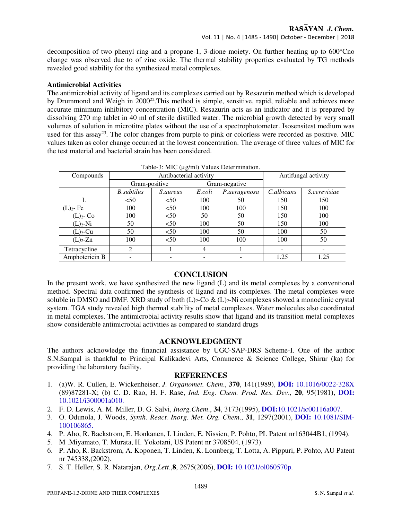decomposition of two phenyl ring and a propane-1, 3-dione moiety. On further heating up to  $600^{\circ}$ Cno change was observed due to of zinc oxide. The thermal stability properties evaluated by TG methods revealed good stability for the synthesized metal complexes.

#### **Antimicrobial Activities**

The antimicrobial activity of ligand and its complexes carried out by Resazurin method which is developed by Drummond and Weigh in 2000<sup>22</sup>. This method is simple, sensitive, rapid, reliable and achieves more accurate minimum inhibitory concentration (MIC). Resazurin acts as an indicator and it is prepared by dissolving 270 mg tablet in 40 ml of sterile distilled water. The microbial growth detected by very small volumes of solution in microtitre plates without the use of a spectrophotometer. Isosensitest medium was used for this assay<sup>23</sup>. The color changes from purple to pink or colorless were recorded as positive. MIC values taken as color change occurred at the lowest concentration. The average of three values of MIC for the test material and bacterial strain has been considered.

| Table-3: MIC (µg/ml) Values Determination. |                        |                 |               |              |                     |              |  |
|--------------------------------------------|------------------------|-----------------|---------------|--------------|---------------------|--------------|--|
| Compounds                                  | Antibacterial activity |                 |               |              | Antifungal activity |              |  |
|                                            | Gram-positive          |                 | Gram-negative |              |                     |              |  |
|                                            | B.subtilus             | <i>S.aureus</i> | E.coli        | P.aerugenosa | C.albicans          | S.cerevisiae |  |
|                                            | < 50                   | < 50            | 100           | 50           | 150                 | 150          |  |
| $(L)2$ - Fe                                | 100                    | < 50            | 100           | 100          | 150                 | 100          |  |
| $(L)2$ - Co                                | 100                    | < 50            | 50            | 50           | 150                 | 100          |  |
| $(L)2-Ni$                                  | 50                     | < 50            | 100           | 50           | 150                 | 100          |  |
| $(L)_{2}$ -Cu                              | 50                     | < 50            | 100           | 50           | 100                 | 50           |  |
| $(L)2$ -Zn                                 | 100                    | < 50            | 100           | 100          | 100                 | 50           |  |
| Tetracycline                               | 2                      |                 | 4             |              |                     |              |  |
| Amphotericin B                             |                        |                 |               |              | 1.25                | 1.25         |  |

# Table-3: MIC (µg/ml) Values Determination.

#### **CONCLUSION**

In the present work, we have synthesized the new ligand (L) and its metal complexes by a conventional method. Spectral data confirmed the synthesis of ligand and its complexes. The metal complexes were soluble in DMSO and DMF. XRD study of both  $(L)<sub>2</sub>$ -Co &  $(L)<sub>2</sub>$ -Ni complexes showed a monoclinic crystal system. TGA study revealed high thermal stability of metal complexes. Water molecules also coordinated in metal complexes. The antimicrobial activity results show that ligand and its transition metal complexes show considerable antimicrobial activities as compared to standard drugs

#### **ACKNOWLEDGMENT**

The authors acknowledge the financial assistance by UGC-SAP-DRS Scheme-I. One of the author S.N.Sampal is thankful to Principal Kalikadevi Arts, Commerce & Science College, Shirur (ka) for providing the laboratory facility.

#### **REFERENCES**

- 1. (a)W. R. Cullen, E. Wickenheiser, *J. Organomet. Chem*., **370**, 141(1989), **DOI:** 10.1016/0022-328X (89)87281-X; (b) C. D. Rao, H. F. Rase, *Ind. Eng. Chem. Prod. Res. Dev*., **20**, 95(1981), **DOI:**  10.1021/i300001a010.
- 2. F. D. Lewis, A. M. Miller, D. G. Salvi, *Inorg.Chem*., **34**, 3173(1995), **DOI:**10.1021/ic00116a007.
- 3. O. Odunola, J. Woods, *Synth. React. Inorg. Met. Org. Chem*., **31**, 1297(2001), **DOI:** 10.1081/SIM-100106865.
- 4. P. Aho, R. Backstrom, E. Honkanen, I. Linden, E. Nissien, P. Pohto, PL Patent nr163044B1, (1994).
- 5. M .Miyamato, T. Murata, H. Yokotani, US Patent nr 3708504, (1973).
- 6. P. Aho, R. Backstrom, A. Koponen, T. Linden, K. Lonnberg, T. Lotta, A. Pippuri, P. Pohto, AU Patent nr 745338,(2002).
- 7. S. T. Heller, S. R. Natarajan, *Org.Lett*.,**8**, 2675(2006), **DOI:** 10.1021/ol060570p.